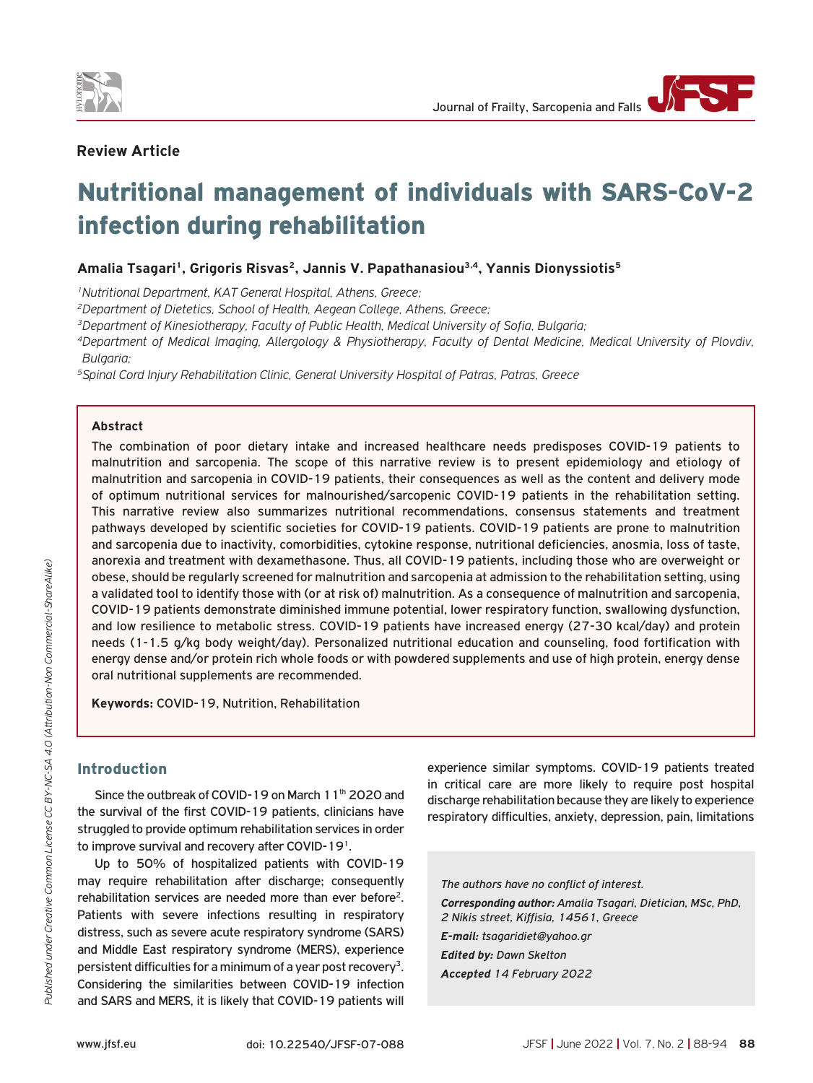

# **Review Article**

# Nutritional management of individuals with SARS-CoV-2 infection during rehabilitation

# Amalia Tsagari<sup>1</sup>, Grigoris Risvas<sup>2</sup>, Jannis V. Papathanasiou<sup>3,4</sup>, Yannis Dionyssiotis<sup>5</sup>

*1Nutritional Department, KAT General Hospital, Athens, Greece;*

*2Department of Dietetics, School of Health, Aegean College, Athens, Greece;*

*3Department of Kinesiotherapy, Faculty of Public Health, Medical University of Sofia, Bulgaria;*

*4Department of Medical Imaging, Allergology & Physiotherapy, Faculty of Dental Medicine, Medical University of Plovdiv, Bulgaria;*

*5Spinal Cord Injury Rehabilitation Clinic, General University Hospital of Patras, Patras, Greece*

#### **Abstract**

The combination of poor dietary intake and increased healthcare needs predisposes COVID-19 patients to malnutrition and sarcopenia. The scope of this narrative review is tο present epidemiology and etiology of malnutrition and sarcopenia in COVID-19 patients, their consequences as well as the content and delivery mode of optimum nutritional services for malnourished/sarcopenic COVID-19 patients in the rehabilitation setting. This narrative review also summarizes nutritional recommendations, consensus statements and treatment pathways developed by scientific societies for COVID-19 patients. COVID-19 patients are prone to malnutrition and sarcopenia due to inactivity, comorbidities, cytokine response, nutritional deficiencies, anosmia, loss of taste, anorexia and treatment with dexamethasone. Thus, all COVID-19 patients, including those who are overweight or obese, should be regularly screened for malnutrition and sarcopenia at admission to the rehabilitation setting, using a validated tool to identify those with (or at risk of) malnutrition. As a consequence of malnutrition and sarcopenia, COVID-19 patients demonstrate diminished immune potential, lower respiratory function, swallowing dysfunction, and low resilience to metabolic stress. COVID-19 patients have increased energy (27-30 kcal/day) and protein needs (1-1.5 g/kg body weight/day). Personalized nutritional education and counseling, food fortification with energy dense and/or protein rich whole foods or with powdered supplements and use of high protein, energy dense oral nutritional supplements are recommended.

**Keywords:** COVID-19, Nutrition, Rehabilitation

# **Introduction**

Since the outbreak of COVID-19 on March 11<sup>th</sup> 2020 and the survival of the first COVID-19 patients, clinicians have struggled to provide optimum rehabilitation services in order to improve survival and recovery after COVID-191.

Up to 50% of hospitalized patients with COVID-19 may require rehabilitation after discharge; consequently rehabilitation services are needed more than ever before<sup>2</sup>. Patients with severe infections resulting in respiratory distress, such as severe acute respiratory syndrome (SARS) and Middle East respiratory syndrome (MERS), experience persistent difficulties for a minimum of a year post recovery<sup>3</sup>. Considering the similarities between COVID-19 infection and SARS and MERS, it is likely that COVID-19 patients will experience similar symptoms. COVID-19 patients treated in critical care are more likely to require post hospital discharge rehabilitation because they are likely to experience respiratory difficulties, anxiety, depression, pain, limitations

*The authors have no conflict of interest. Corresponding author: Amalia Tsagari, Dietician, MSc, PhD, 2 Nikis street, Kiffisia, 14561, Greece E-mail: tsagaridiet@yahoo.gr Edited by: Dawn Skelton*

*Accepted 14 February 2022*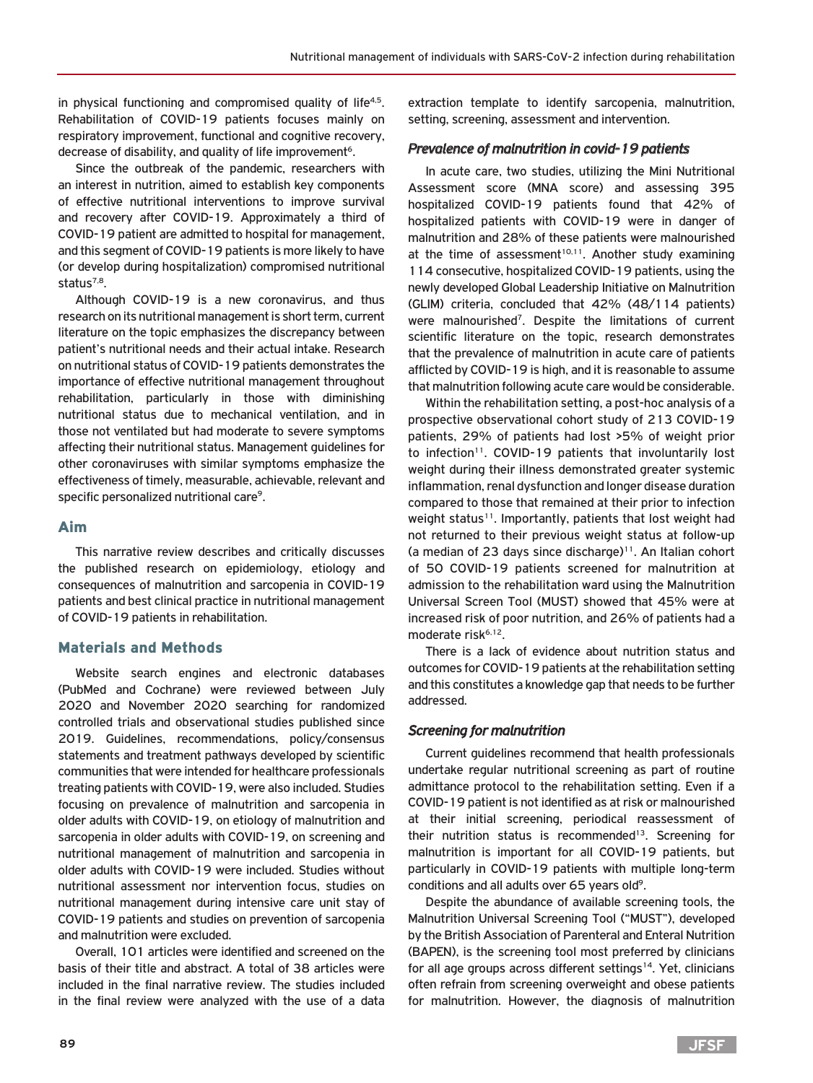in physical functioning and compromised quality of life<sup>4,5</sup>. Rehabilitation of COVID-19 patients focuses mainly on respiratory improvement, functional and cognitive recovery, decrease of disability, and quality of life improvement<sup>6</sup>.

Since the outbreak of the pandemic, researchers with an interest in nutrition, aimed to establish key components of effective nutritional interventions to improve survival and recovery after COVID-19. Approximately a third of COVID-19 patient are admitted to hospital for management, and this segment of COVID-19 patients is more likely to have (or develop during hospitalization) compromised nutritional status<sup>7,8</sup>.

Although COVID-19 is a new coronavirus, and thus research on its nutritional management is short term, current literature on the topic emphasizes the discrepancy between patient's nutritional needs and their actual intake. Research on nutritional status of COVID-19 patients demonstrates the importance of effective nutritional management throughout rehabilitation, particularly in those with diminishing nutritional status due to mechanical ventilation, and in those not ventilated but had moderate to severe symptoms affecting their nutritional status. Management guidelines for other coronaviruses with similar symptoms emphasize the effectiveness of timely, measurable, achievable, relevant and specific personalized nutritional care9.

# Aim

This narrative review describes and critically discusses the published research on epidemiology, etiology and consequences of malnutrition and sarcopenia in COVID-19 patients and best clinical practice in nutritional management of COVID-19 patients in rehabilitation.

## Materials and Methods

Website search engines and electronic databases (PubMed and Cochrane) were reviewed between July 2020 and November 2020 searching for randomized controlled trials and observational studies published since 2019. Guidelines, recommendations, policy/consensus statements and treatment pathways developed by scientific communities that were intended for healthcare professionals treating patients with COVID-19, were also included. Studies focusing on prevalence of malnutrition and sarcopenia in older adults with COVID-19, on etiology of malnutrition and sarcopenia in older adults with COVID-19, on screening and nutritional management of malnutrition and sarcopenia in older adults with COVID-19 were included. Studies without nutritional assessment nor intervention focus, studies on nutritional management during intensive care unit stay of COVID-19 patients and studies on prevention of sarcopenia and malnutrition were excluded.

Overall, 101 articles were identified and screened on the basis of their title and abstract. A total of 38 articles were included in the final narrative review. The studies included in the final review were analyzed with the use of a data extraction template to identify sarcopenia, malnutrition, setting, screening, assessment and intervention.

## *Prevalence of malnutrition in covid-19 patients*

In acute care, two studies, utilizing the Mini Nutritional Assessment score (MNA score) and assessing 395 hospitalized COVID-19 patients found that 42% of hospitalized patients with COVID-19 were in danger of malnutrition and 28% of these patients were malnourished at the time of assessment<sup>10,11</sup>. Another study examining 114 consecutive, hospitalized COVID-19 patients, using the newly developed Global Leadership Initiative on Malnutrition (GLIM) criteria, concluded that 42% (48/114 patients) were malnourished<sup>7</sup>. Despite the limitations of current scientific literature on the topic, research demonstrates that the prevalence of malnutrition in acute care of patients afflicted by COVID-19 is high, and it is reasonable to assume that malnutrition following acute care would be considerable.

Within the rehabilitation setting, a post-hoc analysis of a prospective observational cohort study of 213 COVID-19 patients, 29% of patients had lost >5% of weight prior to infection<sup>11</sup>. COVID-19 patients that involuntarily lost weight during their illness demonstrated greater systemic inflammation, renal dysfunction and longer disease duration compared to those that remained at their prior to infection weight status<sup>11</sup>. Importantly, patients that lost weight had not returned to their previous weight status at follow-up (a median of 23 days since discharge) $11$ . An Italian cohort of 50 COVID-19 patients screened for malnutrition at admission to the rehabilitation ward using the Malnutrition Universal Screen Tool (MUST) showed that 45% were at increased risk of poor nutrition, and 26% of patients had a moderate risk<sup>6,12</sup>.

There is a lack of evidence about nutrition status and outcomes for COVID-19 patients at the rehabilitation setting and this constitutes a knowledge gap that needs to be further addressed.

## *Screening for malnutrition*

Current guidelines recommend that health professionals undertake regular nutritional screening as part of routine admittance protocol to the rehabilitation setting. Even if a COVID-19 patient is not identified as at risk or malnourished at their initial screening, periodical reassessment of their nutrition status is recommended<sup>13</sup>. Screening for malnutrition is important for all COVID-19 patients, but particularly in COVID-19 patients with multiple long-term conditions and all adults over 65 years old<sup>9</sup>.

Despite the abundance of available screening tools, the Malnutrition Universal Screening Tool ("MUST"), developed by the British Association of Parenteral and Enteral Nutrition (BAPEN), is the screening tool most preferred by clinicians for all age groups across different settings<sup>14</sup>. Yet, clinicians often refrain from screening overweight and obese patients for malnutrition. However, the diagnosis of malnutrition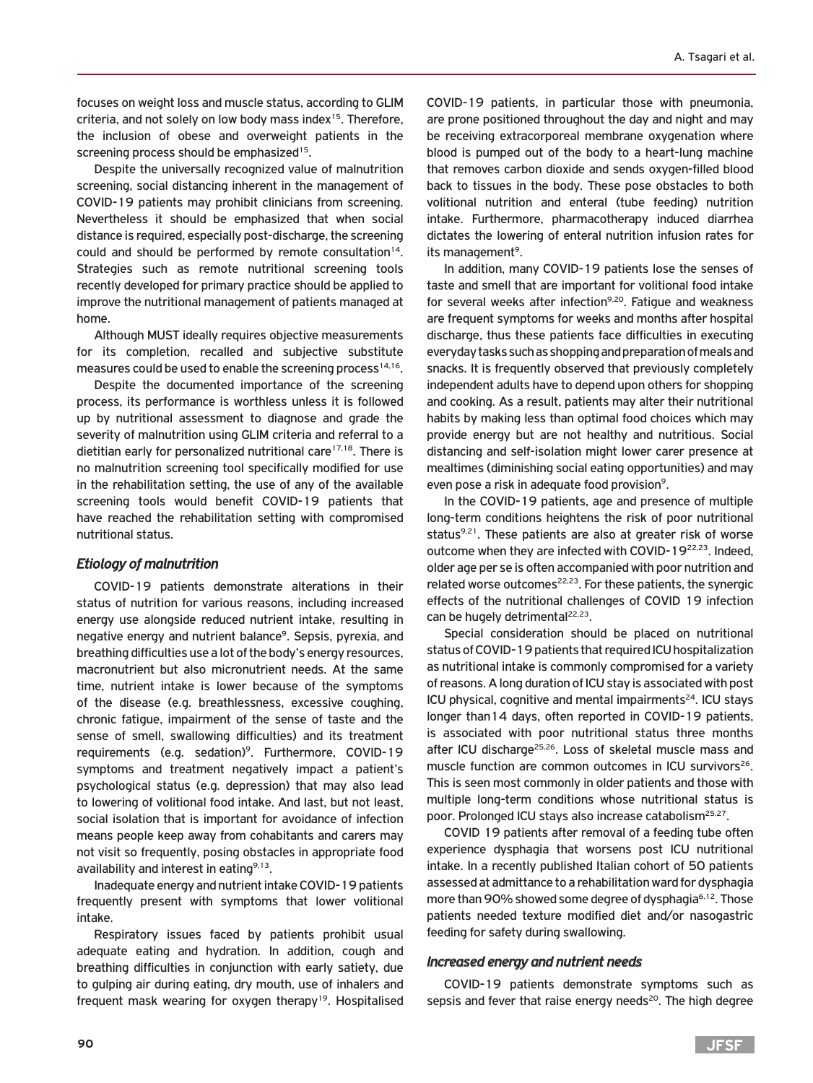focuses on weight loss and muscle status, according to GLIM criteria, and not solely on low body mass index<sup>15</sup>. Therefore, the inclusion of obese and overweight patients in the screening process should be emphasized<sup>15</sup>.

Despite the universally recognized value of malnutrition screening, social distancing inherent in the management of COVID-19 patients may prohibit clinicians from screening. Nevertheless it should be emphasized that when social distance is required, especially post-discharge, the screening could and should be performed by remote consultation<sup>14</sup>. Strategies such as remote nutritional screening tools recently developed for primary practice should be applied to improve the nutritional management of patients managed at home.

Although MUST ideally requires objective measurements for its completion, recalled and subjective substitute measures could be used to enable the screening process<sup>14,16</sup>.

Despite the documented importance of the screening process, its performance is worthless unless it is followed up by nutritional assessment to diagnose and grade the severity of malnutrition using GLIM criteria and referral to a dietitian early for personalized nutritional care $17,18$ . There is no malnutrition screening tool specifically modified for use in the rehabilitation setting, the use of any of the available screening tools would benefit COVID-19 patients that have reached the rehabilitation setting with compromised nutritional status.

## *Etiology of malnutrition*

COVID-19 patients demonstrate alterations in their status of nutrition for various reasons, including increased energy use alongside reduced nutrient intake, resulting in negative energy and nutrient balance<sup>9</sup>. Sepsis, pyrexia, and breathing difficulties use a lot of the body's energy resources, macronutrient but also micronutrient needs. At the same time, nutrient intake is lower because of the symptoms of the disease (e.g. breathlessness, excessive coughing, chronic fatigue, impairment of the sense of taste and the sense of smell, swallowing difficulties) and its treatment requirements (e.g. sedation)<sup>9</sup>. Furthermore, COVID-19 symptoms and treatment negatively impact a patient's psychological status (e.g. depression) that may also lead to lowering of volitional food intake. And last, but not least, social isolation that is important for avoidance of infection means people keep away from cohabitants and carers may not visit so frequently, posing obstacles in appropriate food availability and interest in eating $9,13$ .

Inadequate energy and nutrient intake COVID-19 patients frequently present with symptoms that lower volitional intake.

Respiratory issues faced by patients prohibit usual adequate eating and hydration. In addition, cough and breathing difficulties in conjunction with early satiety, due to gulping air during eating, dry mouth, use of inhalers and frequent mask wearing for oxygen therapy<sup>19</sup>. Hospitalised COVID-19 patients, in particular those with pneumonia, are prone positioned throughout the day and night and may be receiving extracorporeal membrane oxygenation where blood is pumped out of the body to a heart-lung machine that removes carbon dioxide and sends oxygen-filled blood back to tissues in the body. These pose obstacles to both volitional nutrition and enteral (tube feeding) nutrition intake. Furthermore, pharmacotherapy induced diarrhea dictates the lowering of enteral nutrition infusion rates for its management<sup>9</sup>.

In addition, many COVID-19 patients lose the senses of taste and smell that are important for volitional food intake for several weeks after infection<sup>9,20</sup>. Fatigue and weakness are frequent symptoms for weeks and months after hospital discharge, thus these patients face difficulties in executing everyday tasks such as shopping and preparation of meals and snacks. It is frequently observed that previously completely independent adults have to depend upon others for shopping and cooking. As a result, patients may alter their nutritional habits by making less than optimal food choices which may provide energy but are not healthy and nutritious. Social distancing and self-isolation might lower carer presence at mealtimes (diminishing social eating opportunities) and may even pose a risk in adequate food provision<sup>9</sup>.

In the COVID-19 patients, age and presence of multiple long-term conditions heightens the risk of poor nutritional status $9.21$ . These patients are also at greater risk of worse outcome when they are infected with COVID-1922,23. Indeed, older age per se is often accompanied with poor nutrition and related worse outcomes $22,23$ . For these patients, the synergic effects of the nutritional challenges of COVID 19 infection can be hugely detrimental $22,23$ .

Special consideration should be placed on nutritional status of COVID-19 patients that required ICU hospitalization as nutritional intake is commonly compromised for a variety of reasons. A long duration of ICU stay is associated with post ICU physical, cognitive and mental impairments<sup>24</sup>. ICU stays longer than14 days, often reported in COVID-19 patients, is associated with poor nutritional status three months after ICU discharge<sup>25,26</sup>. Loss of skeletal muscle mass and muscle function are common outcomes in ICU survivors<sup>26</sup>. This is seen most commonly in older patients and those with multiple long-term conditions whose nutritional status is poor. Prolonged ICU stays also increase catabolism<sup>25,27</sup>.

COVID 19 patients after removal of a feeding tube often experience dysphagia that worsens post ICU nutritional intake. In a recently published Italian cohort of 50 patients assessed at admittance to a rehabilitation ward for dysphagia more than 90% showed some degree of dysphagia<sup>6,12</sup>. Those patients needed texture modified diet and/or nasogastric feeding for safety during swallowing.

#### *Increased energy and nutrient needs*

COVID-19 patients demonstrate symptoms such as sepsis and fever that raise energy needs<sup>20</sup>. The high degree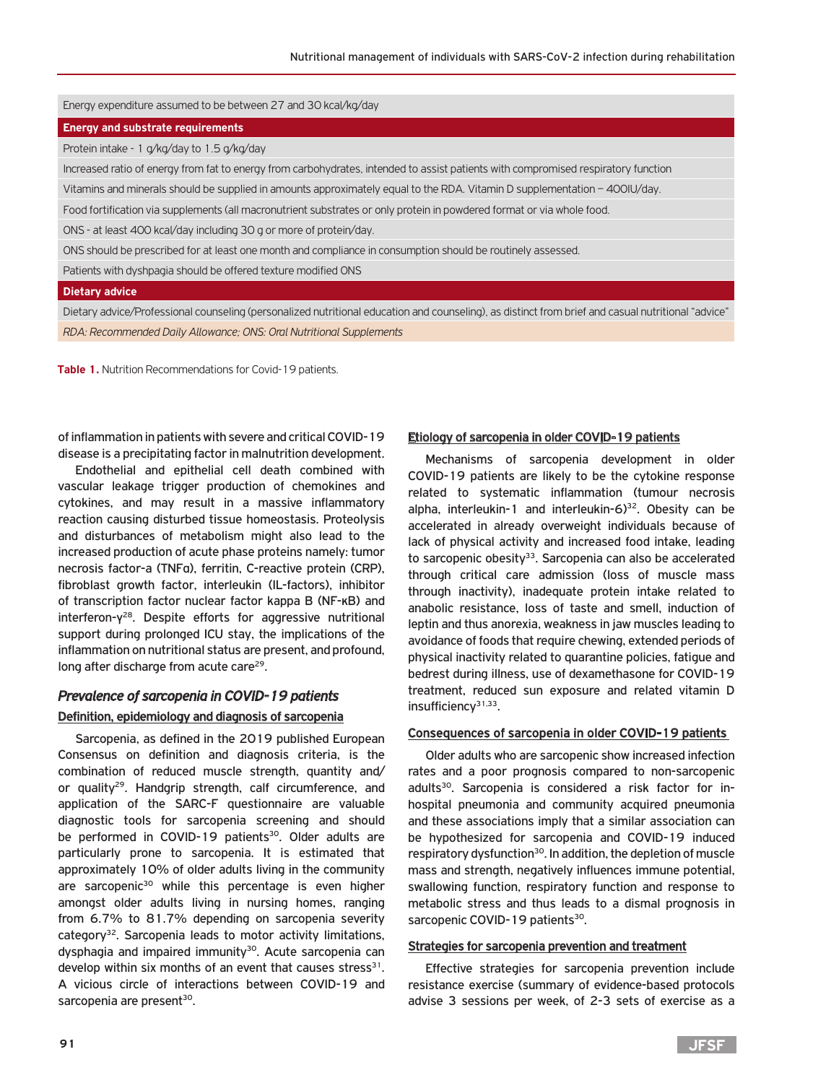## Energy expenditure assumed to be between 27 and 30 kcal/kg/day

#### **Energy and substrate requirements**

Protein intake - 1 g/kg/day to 1.5 g/kg/day

Increased ratio of energy from fat to energy from carbohydrates, intended to assist patients with compromised respiratory function

Vitamins and minerals should be supplied in amounts approximately equal to the RDA. Vitamin D supplementation – 400IU/day.

Food fortification via supplements (all macronutrient substrates or only protein in powdered format or via whole food.

ONS - at least 400 kcal/day including 30 g or more of protein/day.

ONS should be prescribed for at least one month and compliance in consumption should be routinely assessed.

Patients with dyshpagia should be offered texture modified ONS

#### **Dietary advice**

Dietary advice/Professional counseling (personalized nutritional education and counseling), as distinct from brief and casual nutritional "advice" *RDA: Recommended Daily Allowance; ONS: Oral Nutritional Supplements*

**Table 1.** Nutrition Recommendations for Covid-19 patients.

of inflammation in patients with severe and critical COVID-19 disease is a precipitating factor in malnutrition development.

Endothelial and epithelial cell death combined with vascular leakage trigger production of chemokines and cytokines, and may result in a massive inflammatory reaction causing disturbed tissue homeostasis. Proteolysis and disturbances of metabolism might also lead to the increased production of acute phase proteins namely: tumor necrosis factor-a (TNFα), ferritin, C-reactive protein (CRP), fibroblast growth factor, interleukin (IL-factors), inhibitor of transcription factor nuclear factor kappa B (NF-κB) and interferon-γ28. Despite efforts for aggressive nutritional support during prolonged ICU stay, the implications of the inflammation on nutritional status are present, and profound, long after discharge from acute care<sup>29</sup>.

# *Prevalence of sarcopenia in COVID-19 patients* Definition, epidemiology and diagnosis of sarcopenia

Sarcopenia, as defined in the 2019 published European Consensus on definition and diagnosis criteria, is the combination of reduced muscle strength, quantity and/ or quality<sup>29</sup>. Handgrip strength, calf circumference, and application of the SARC-F questionnaire are valuable diagnostic tools for sarcopenia screening and should be performed in COVID-19 patients<sup>30</sup>. Older adults are particularly prone to sarcopenia. It is estimated that approximately 10% of older adults living in the community are sarcopenic<sup>30</sup> while this percentage is even higher amongst older adults living in nursing homes, ranging from 6.7% to 81.7% depending on sarcopenia severity category32. Sarcopenia leads to motor activity limitations, dysphagia and impaired immunity<sup>30</sup>. Acute sarcopenia can develop within six months of an event that causes stress $31$ . A vicious circle of interactions between COVID-19 and sarcopenia are present<sup>30</sup>.

## Etiology of sarcopenia in older COVID-19 patients

Mechanisms of sarcopenia development in older COVID-19 patients are likely to be the cytokine response related to systematic inflammation (tumour necrosis alpha, interleukin-1 and interleukin- $6$ <sup>32</sup>. Obesity can be accelerated in already overweight individuals because of lack of physical activity and increased food intake, leading to sarcopenic obesity<sup>33</sup>. Sarcopenia can also be accelerated through critical care admission (loss of muscle mass through inactivity), inadequate protein intake related to anabolic resistance, loss of taste and smell, induction of leptin and thus anorexia, weakness in jaw muscles leading to avoidance of foods that require chewing, extended periods of physical inactivity related to quarantine policies, fatigue and bedrest during illness, use of dexamethasone for COVID-19 treatment, reduced sun exposure and related vitamin D insufficiency<sup>31,33</sup>.

#### Consequences of sarcopenia in older COVID-19 patients

Older adults who are sarcopenic show increased infection rates and a poor prognosis compared to non-sarcopenic adults<sup>30</sup>. Sarcopenia is considered a risk factor for inhospital pneumonia and community acquired pneumonia and these associations imply that a similar association can be hypothesized for sarcopenia and COVID-19 induced respiratory dysfunction<sup>30</sup>. In addition, the depletion of muscle mass and strength, negatively influences immune potential, swallowing function, respiratory function and response to metabolic stress and thus leads to a dismal prognosis in sarcopenic COVID-19 patients<sup>30</sup>.

## Strategies for sarcopenia prevention and treatment

Effective strategies for sarcopenia prevention include resistance exercise (summary of evidence-based protocols advise 3 sessions per week, of 2-3 sets of exercise as a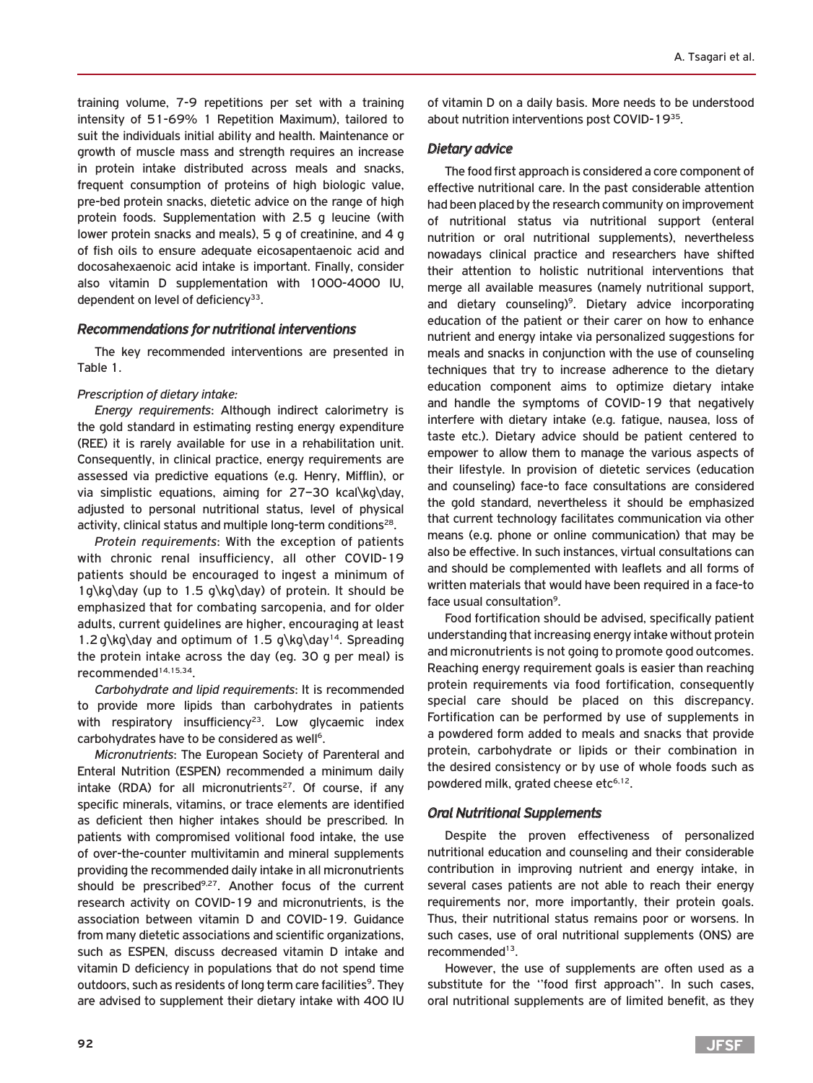training volume, 7-9 repetitions per set with a training intensity of 51-69% 1 Repetition Maximum), tailored to suit the individuals initial ability and health. Maintenance or growth of muscle mass and strength requires an increase in protein intake distributed across meals and snacks, frequent consumption of proteins of high biologic value, pre-bed protein snacks, dietetic advice on the range of high protein foods. Supplementation with 2.5 g leucine (with lower protein snacks and meals), 5 g of creatinine, and 4 g of fish oils to ensure adequate eicosapentaenoic acid and docosahexaenoic acid intake is important. Finally, consider also vitamin D supplementation with 1000-4000 IU, dependent on level of deficiency $33$ .

## *Recommendations for nutritional interventions*

The key recommended interventions are presented in Table 1.

#### *Prescription of dietary intake:*

*Energy requirements*: Although indirect calorimetry is the gold standard in estimating resting energy expenditure (REE) it is rarely available for use in a rehabilitation unit. Consequently, in clinical practice, energy requirements are assessed via predictive equations (e.g. Henry, Mifflin), or via simplistic equations, aiming for 27–30 kcal\kg\day, adjusted to personal nutritional status, level of physical activity, clinical status and multiple long-term conditions<sup>28</sup>.

*Protein requirements*: With the exception of patients with chronic renal insufficiency, all other COVID-19 patients should be encouraged to ingest a minimum of 1g\kg\day (up to 1.5 g\kg\day) of protein. It should be emphasized that for combating sarcopenia, and for older adults, current guidelines are higher, encouraging at least 1.2 g\kg\day and optimum of 1.5 g\kg\day<sup>14</sup>. Spreading the protein intake across the day (eg. 30 g per meal) is recommended14,15,34.

*Carbohydrate and lipid requirements*: It is recommended to provide more lipids than carbohydrates in patients with respiratory insufficiency<sup>23</sup>. Low glycaemic index carbohydrates have to be considered as well<sup>6</sup>.

*Micronutrients*: The European Society of Parenteral and Enteral Nutrition (ESPEN) recommended a minimum daily intake (RDA) for all micronutrients<sup>27</sup>. Of course, if any specific minerals, vitamins, or trace elements are identified as deficient then higher intakes should be prescribed. In patients with compromised volitional food intake, the use of over-the-counter multivitamin and mineral supplements providing the recommended daily intake in all micronutrients should be prescribed<sup>9,27</sup>. Another focus of the current research activity on COVID-19 and micronutrients, is the association between vitamin D and COVID-19. Guidance from many dietetic associations and scientific organizations, such as ESPEN, discuss decreased vitamin D intake and vitamin D deficiency in populations that do not spend time outdoors, such as residents of long term care facilities<sup>9</sup>. They are advised to supplement their dietary intake with 400 IU

of vitamin D on a daily basis. More needs to be understood about nutrition interventions post COVID-1935.

### *Dietary advice*

The food first approach is considered a core component of effective nutritional care. In the past considerable attention had been placed by the research community on improvement of nutritional status via nutritional support (enteral nutrition or oral nutritional supplements), nevertheless nowadays clinical practice and researchers have shifted their attention to holistic nutritional interventions that merge all available measures (namely nutritional support, and dietary counseling)<sup>9</sup>. Dietary advice incorporating education of the patient or their carer on how to enhance nutrient and energy intake via personalized suggestions for meals and snacks in conjunction with the use of counseling techniques that try to increase adherence to the dietary education component aims to optimize dietary intake and handle the symptoms of COVID-19 that negatively interfere with dietary intake (e.g. fatigue, nausea, loss of taste etc.). Dietary advice should be patient centered to empower to allow them to manage the various aspects of their lifestyle. In provision of dietetic services (education and counseling) face-to face consultations are considered the gold standard, nevertheless it should be emphasized that current technology facilitates communication via other means (e.g. phone or online communication) that may be also be effective. In such instances, virtual consultations can and should be complemented with leaflets and all forms of written materials that would have been required in a face-to face usual consultation<sup>9</sup>.

Food fortification should be advised, specifically patient understanding that increasing energy intake without protein and micronutrients is not going to promote good outcomes. Reaching energy requirement goals is easier than reaching protein requirements via food fortification, consequently special care should be placed on this discrepancy. Fortification can be performed by use of supplements in a powdered form added to meals and snacks that provide protein, carbohydrate or lipids or their combination in the desired consistency or by use of whole foods such as powdered milk, grated cheese etc<sup>6,12</sup>.

## *Oral Nutritional Supplements*

Despite the proven effectiveness of personalized nutritional education and counseling and their considerable contribution in improving nutrient and energy intake, in several cases patients are not able to reach their energy requirements nor, more importantly, their protein goals. Thus, their nutritional status remains poor or worsens. In such cases, use of oral nutritional supplements (ONS) are recommended<sup>13</sup>.

However, the use of supplements are often used as a substitute for the ''food first approach''. In such cases, oral nutritional supplements are of limited benefit, as they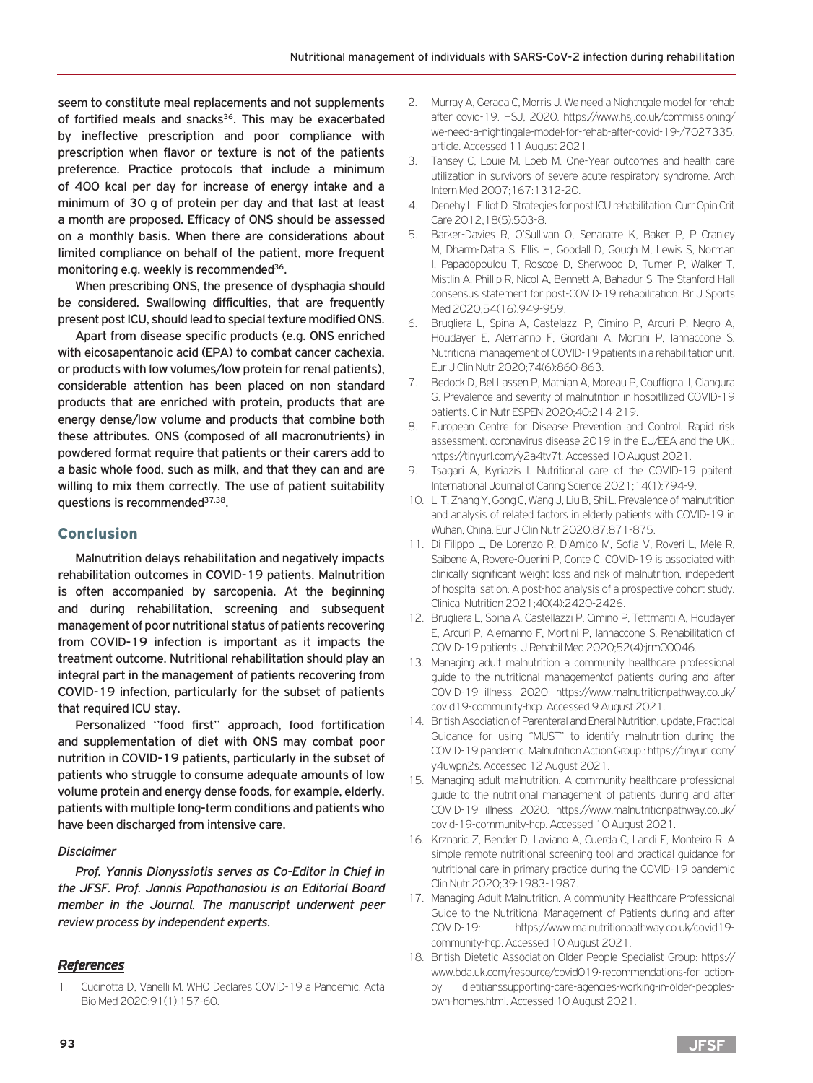seem to constitute meal replacements and not supplements of fortified meals and snacks<sup>36</sup>. This may be exacerbated by ineffective prescription and poor compliance with prescription when flavor or texture is not of the patients preference. Practice protocols that include a minimum of 400 kcal per day for increase of energy intake and a minimum of 30 g of protein per day and that last at least a month are proposed. Efficacy of ONS should be assessed on a monthly basis. When there are considerations about limited compliance on behalf of the patient, more frequent monitoring e.g. weekly is recommended<sup>36</sup>.

When prescribing ONS, the presence of dysphagia should be considered. Swallowing difficulties, that are frequently present post ICU, should lead to special texture modified ONS.

Apart from disease specific products (e.g. ONS enriched with eicosapentanoic acid (EPA) to combat cancer cachexia, or products with low volumes/low protein for renal patients), considerable attention has been placed on non standard products that are enriched with protein, products that are energy dense/low volume and products that combine both these attributes. ONS (composed of all macronutrients) in powdered format require that patients or their carers add to a basic whole food, such as milk, and that they can and are willing to mix them correctly. The use of patient suitability questions is recommended<sup>37,38</sup>.

## Conclusion

Malnutrition delays rehabilitation and negatively impacts rehabilitation outcomes in COVID-19 patients. Malnutrition is often accompanied by sarcopenia. At the beginning and during rehabilitation, screening and subsequent management of poor nutritional status of patients recovering from COVID-19 infection is important as it impacts the treatment outcome. Nutritional rehabilitation should play an integral part in the management of patients recovering from COVID-19 infection, particularly for the subset of patients that required ICU stay.

Personalized ''food first'' approach, food fortification and supplementation of diet with ONS may combat poor nutrition in COVID-19 patients, particularly in the subset of patients who struggle to consume adequate amounts of low volume protein and energy dense foods, for example, elderly, patients with multiple long-term conditions and patients who have been discharged from intensive care.

#### *Disclaimer*

*Prof. Yannis Dionyssiotis serves as Co-Editor in Chief in the JFSF. Prof. Jannis Papathanasiou is an Editorial Board member in the Journal. The manuscript underwent peer review process by independent experts.*

## *References*

1. Cucinotta D, Vanelli M. WHO Declares COVID-19 a Pandemic. Acta Bio Med 2020;91(1):157-60.

- 2. Murray A, Gerada C, Morris J. We need a Nightngale model for rehab after covid-19. HSJ, 2020. https://www.hsj.co.uk/commissioning/ we-need-a-nightingale-model-for-rehab-after-covid-19-/7027335. article. Accessed 11 August 2021.
- 3. Tansey C, Louie M, Loeb M. One-Year outcomes and health care utilization in survivors of severe acute respiratory syndrome. Arch Intern Med 2007;167:1312-20.
- 4. Denehy L, Elliot D. Strategies for post ICU rehabilitation. Curr Opin Crit Care 2012;18(5):503-8.
- 5. Barker-Davies R, O'Sullivan O, Senaratre K, Baker P, P Cranley M, Dharm-Datta S, Ellis H, Goodall D, Gough M, Lewis S, Norman I, Papadopoulou T, Roscoe D, Sherwood D, Turner P, Walker T, Mistlin A, Phillip R, Nicol A, Bennett A, Bahadur S. The Stanford Hall consensus statement for post-COVID-19 rehabilitation. Br J Sports Med 2020;54(16):949-959.
- 6. Brugliera L, Spina A, Castelazzi P, Cimino P, Arcuri P, Negro A, Houdayer E, Alemanno F, Giordani A, Mortini P, Iannaccone S. Nutritional management of COVID-19 patients in a rehabilitation unit. Eur J Clin Nutr 2020;74(6):860-863.
- 7. Bedock D, Bel Lassen P, Mathian A, Moreau P, Couffignal I, Ciangura G. Prevalence and severity of malnutrition in hospitllized COVID-19 patients. Clin Nutr ESPEN 2020;40:214-219.
- 8. European Centre for Disease Prevention and Control. Rapid risk assessment: coronavirus disease 2019 in the EU/EEA and the UK.: https://tinyurl.com/y2a4tv7t. Accessed 10 August 2021.
- 9. Tsagari A, Kyriazis I. Nutritional care of the COVID-19 paitent. International Journal of Caring Science 2021;14(1):794-9.
- 10. Li T, Zhang Y, Gong C, Wang J, Liu B, Shi L. Prevalence of malnutrition and analysis of related factors in elderly patients with COVID-19 in Wuhan, China. Eur J Clin Nutr 2020;87:871-875.
- 11. Di Filippo L, De Lorenzo R, D'Amico M, Sofia V, Roveri L, Mele R, Saibene A, Rovere-Querini P, Conte C. COVID-19 is associated with clinically significant weight loss and risk of malnutrition, indepedent of hospitalisation: A post-hoc analysis of a prospective cohort study. Clinical Nutrition 2021;40(4):2420-2426.
- 12. Brugliera L, Spina A, Castellazzi P, Cimino P, Tettmanti A, Houdayer E, Arcuri P, Alemanno F, Mortini P, Iannaccone S. Rehabilitation of COVID-19 patients. J Rehabil Med 2020;52(4):jrm00046.
- 13. Managing adult malnutrition a community healthcare professional guide to the nutritional managementof patients during and after COVID-19 illness. 2020: https://www.malnutritionpathway.co.uk/ covid19-community-hcp. Accessed 9 August 2021.
- 14. British Asociation of Parenteral and Eneral Nutrition, update, Practical Guidance for using ''MUST'' to identify malnutrition during the COVID-19 pandemic. Malnutrition Action Group.: https://tinyurl.com/ y4uwpn2s. Accessed 12 August 2021.
- 15. Managing adult malnutrition. A community healthcare professional guide to the nutritional management of patients during and after COVID-19 illness 2020: https://www.malnutritionpathway.co.uk/ covid-19-community-hcp. Accessed 10 August 2021.
- 16. Krznaric Z, Bender D, Laviano A, Cuerda C, Landi F, Monteiro R. A simple remote nutritional screening tool and practical guidance for nutritional care in primary practice during the COVID-19 pandemic Clin Nutr 2020;39:1983-1987.
- 17. Managing Adult Malnutrition. A community Healthcare Professional Guide to the Nutritional Management of Patients during and after COVID-19: https://www.malnutritionpathway.co.uk/covid19 community-hcp. Accessed 10 August 2021.
- 18. British Dietetic Association Older People Specialist Group: https:// www.bda.uk.com/resource/covid019-recommendations-for actionby dietitianssupporting-care-agencies-working-in-older-peoplesown-homes.html. Accessed 10 August 2021.